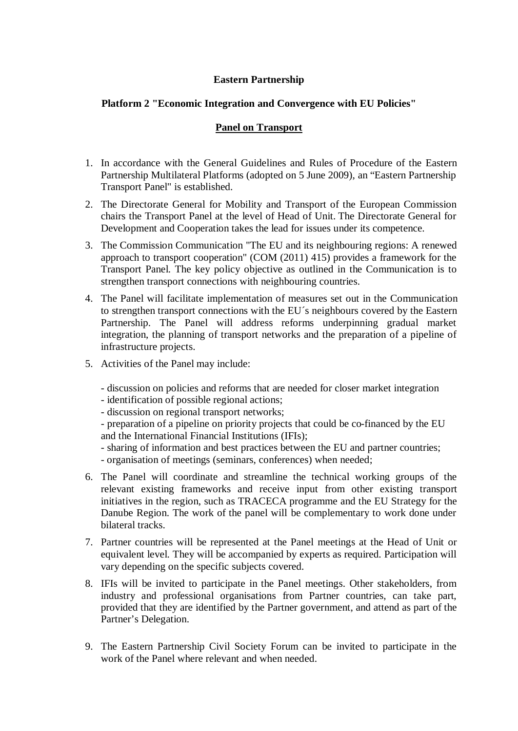## **Eastern Partnership**

## **Platform 2 "Economic Integration and Convergence with EU Policies"**

## **Panel on Transport**

- 1. In accordance with the General Guidelines and Rules of Procedure of the Eastern Partnership Multilateral Platforms (adopted on 5 June 2009), an "Eastern Partnership Transport Panel" is established.
- 2. The Directorate General for Mobility and Transport of the European Commission chairs the Transport Panel at the level of Head of Unit. The Directorate General for Development and Cooperation takes the lead for issues under its competence.
- 3. The Commission Communication "The EU and its neighbouring regions: A renewed approach to transport cooperation" (COM (2011) 415) provides a framework for the Transport Panel. The key policy objective as outlined in the Communication is to strengthen transport connections with neighbouring countries.
- 4. The Panel will facilitate implementation of measures set out in the Communication to strengthen transport connections with the EU´s neighbours covered by the Eastern Partnership. The Panel will address reforms underpinning gradual market integration, the planning of transport networks and the preparation of a pipeline of infrastructure projects.
- 5. Activities of the Panel may include:
	- discussion on policies and reforms that are needed for closer market integration
	- identification of possible regional actions;
	- discussion on regional transport networks;
	- preparation of a pipeline on priority projects that could be co-financed by the EU and the International Financial Institutions (IFIs);
	- sharing of information and best practices between the EU and partner countries; - organisation of meetings (seminars, conferences) when needed;
- 6. The Panel will coordinate and streamline the technical working groups of the relevant existing frameworks and receive input from other existing transport initiatives in the region, such as TRACECA programme and the EU Strategy for the Danube Region. The work of the panel will be complementary to work done under bilateral tracks.
- 7. Partner countries will be represented at the Panel meetings at the Head of Unit or equivalent level. They will be accompanied by experts as required. Participation will vary depending on the specific subjects covered.
- 8. IFIs will be invited to participate in the Panel meetings. Other stakeholders, from industry and professional organisations from Partner countries, can take part, provided that they are identified by the Partner government, and attend as part of the Partner's Delegation.
- 9. The Eastern Partnership Civil Society Forum can be invited to participate in the work of the Panel where relevant and when needed.